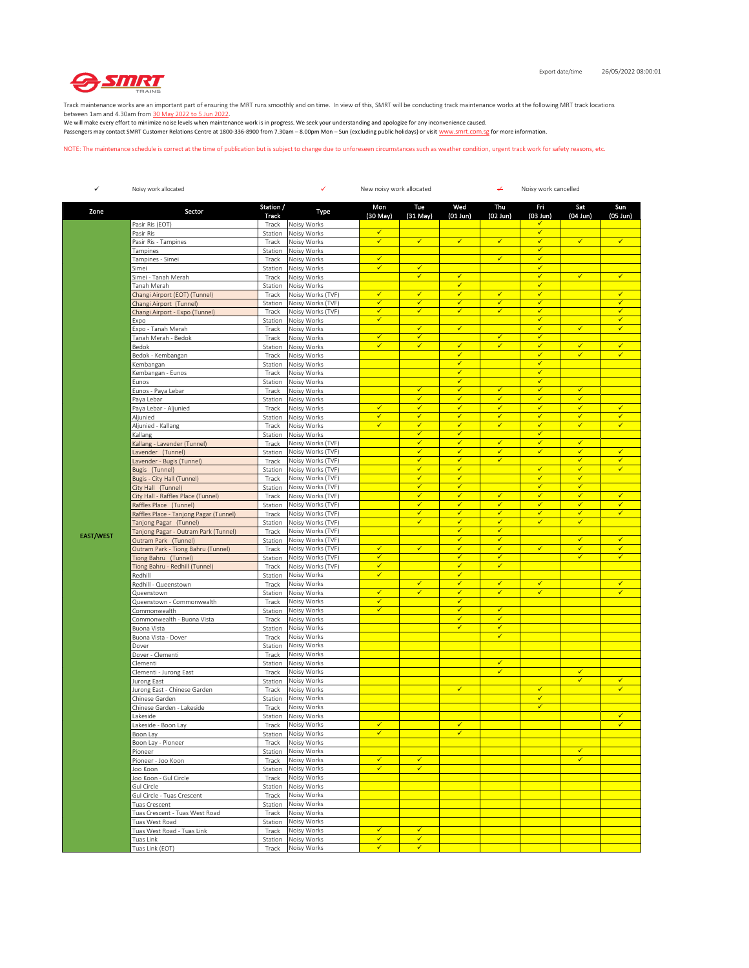

Track maintenance works are an important part of ensuring the MRT runs smoothly and on time. In view of this, SMRT will be conducting track maintenance works at the following MRT track locations

between 1am and 4.30am from <u>30 May 2022 to 5 Jun 2022</u>.<br>We will make every effort to minimize noise levels when maintenance work is in progress. We seek your understanding and apologize for any inconvenience caused. Passengers may contact SMRT Customer Relations Centre at 1800-336-8900 from 7.30am – 8.00pm Mon – Sun (excluding public holidays) or visit www.smrt.com.sg for more information.

NOTE: The maintenance schedule is correct at the time of publication but is subject to change due to unforeseen circumstances such as weather condition, urgent track work for safety reasons, etc.

| $\checkmark$     | Noisy work allocated                                         |                    | ✓<br>New noisy work allocated<br>↵<br>Noisy work cancelled |                              |                              |                                         |                              |                              |                              |                              |
|------------------|--------------------------------------------------------------|--------------------|------------------------------------------------------------|------------------------------|------------------------------|-----------------------------------------|------------------------------|------------------------------|------------------------------|------------------------------|
| Zone             | Sector                                                       | Station /<br>Track | Type                                                       | Mon<br>(30 May)              | Tue<br>(31 May)              | Wed<br>$(01$ Jun $)$                    | Thu<br>$(02$ Jun)            | Fri<br>$(03$ Jun)            | Sat<br>$(04$ Jun)            | Sun<br>$(05$ Jun $)$         |
|                  | Pasir Ris (EOT)                                              | Track              | Noisy Works                                                |                              |                              |                                         |                              | ✓                            |                              |                              |
|                  | Pasir Ris                                                    | Station            | Noisy Works                                                | $\checkmark$<br>$\checkmark$ | $\checkmark$                 | $\checkmark$                            | $\checkmark$                 | ✓<br>✓                       | ✓                            | √                            |
|                  | Pasir Ris - Tampines<br>Tampines                             | Track<br>Station   | Noisy Works<br>Noisy Works                                 |                              |                              |                                         |                              | $\checkmark$                 |                              |                              |
|                  | Tampines - Simei                                             | Track              | Noisy Works                                                | $\checkmark$                 |                              |                                         | $\checkmark$                 | $\checkmark$                 |                              |                              |
|                  | Simei                                                        | Station            | Noisy Works                                                | $\checkmark$                 | $\checkmark$                 |                                         |                              | $\checkmark$                 |                              |                              |
|                  | Simei - Tanah Merah<br>Tanah Merah                           | Track<br>Station   | Noisy Works<br>Noisy Works                                 |                              | $\checkmark$                 | $\checkmark$<br>$\checkmark$            |                              | $\checkmark$<br>✓            | ⊽                            | $\checkmark$                 |
|                  | Changi Airport (EOT) (Tunnel)                                | Track              | Noisy Works (TVF)                                          | $\overline{\checkmark}$      | $\overline{\checkmark}$      | $\checkmark$                            | $\checkmark$                 | $\checkmark$                 |                              | $\checkmark$                 |
|                  | Changi Airport (Tunnel)                                      | Station            | Noisy Works (TVF)                                          | ✓                            | $\checkmark$                 | $\checkmark$                            | $\checkmark$                 | ✓                            |                              | ✓                            |
|                  | Changi Airport - Expo (Tunnel)                               | Track              | Noisy Works (TVF)                                          | ✓<br>$\checkmark$            | ✓                            | ✓                                       | ✔                            | ✔<br>$\checkmark$            |                              | ✓<br>$\checkmark$            |
|                  | Expo<br>Expo - Tanah Merah                                   | Station<br>Track   | Noisy Works<br>Noisy Works                                 |                              | $\checkmark$                 | $\checkmark$                            |                              | $\checkmark$                 | $\checkmark$                 | $\checkmark$                 |
|                  | Tanah Merah - Bedok                                          | Track              | Noisy Works                                                | $\checkmark$                 | $\checkmark$                 |                                         | $\checkmark$                 | ✓                            |                              |                              |
|                  | Bedok                                                        | Station            | Noisy Works                                                | $\overline{\checkmark}$      | $\checkmark$                 | $\overline{\checkmark}$                 | ✓                            | $\checkmark$                 | ✓                            | $\checkmark$                 |
|                  | Bedok - Kembangan                                            | Track              | Noisy Works                                                |                              |                              | $\checkmark$<br>$\checkmark$            |                              | ✓<br>$\checkmark$            | ✓                            | ✓                            |
|                  | Kembangan<br>Kembangan - Eunos                               | Station<br>Track   | Noisy Works<br>Noisy Works                                 |                              |                              | $\checkmark$                            |                              | $\checkmark$                 |                              |                              |
|                  | Eunos                                                        | Station            | Noisy Works                                                |                              |                              | $\checkmark$                            |                              | $\checkmark$                 |                              |                              |
|                  | Eunos - Paya Lebar                                           | Track              | Noisy Works                                                |                              | $\checkmark$                 | $\checkmark$                            | $\checkmark$                 | $\checkmark$                 | ✓                            |                              |
|                  | Paya Lebar                                                   | Station            | Noisy Works                                                | $\checkmark$                 | $\checkmark$<br>$\checkmark$ | $\checkmark$<br>$\checkmark$            | ✓<br>$\checkmark$            | ✓<br>$\checkmark$            | ✓<br>$\checkmark$            | $\checkmark$                 |
|                  | Paya Lebar - Aljunied<br>Aljunied                            | Track<br>Station   | Noisy Works<br>Noisy Works                                 | $\checkmark$                 | $\checkmark$                 | $\checkmark$                            | $\checkmark$                 | $\checkmark$                 | ✓                            | $\checkmark$                 |
|                  | Aljunied - Kallang                                           | Track              | Noisy Works                                                | $\checkmark$                 | $\checkmark$                 | $\checkmark$                            | $\checkmark$                 | ✓                            | $\checkmark$                 | $\checkmark$                 |
|                  | Kallang                                                      | Station            | Noisy Works                                                |                              | $\checkmark$                 | $\overline{\checkmark}$                 |                              | ✓                            |                              |                              |
|                  | Kallang - Lavender (Tunnel)                                  | Track              | Noisy Works (TVF)                                          |                              | $\checkmark$<br>$\checkmark$ | $\checkmark$<br>$\checkmark$            | ✓<br>$\checkmark$            | ✓                            | ✓<br>$\checkmark$            |                              |
|                  | Lavender (Tunnel)<br>Lavender - Bugis (Tunnel)               | Station<br>Track   | Noisy Works (TVF)<br>Noisy Works (TVF)                     |                              | $\checkmark$                 | $\checkmark$                            | $\checkmark$                 | $\checkmark$                 | ✓                            | $\checkmark$<br>$\checkmark$ |
|                  | Bugis (Tunnel)                                               | Station            | Noisy Works (TVF)                                          |                              | $\checkmark$                 | $\checkmark$                            |                              | $\checkmark$                 | $\checkmark$                 | $\checkmark$                 |
|                  | Bugis - City Hall (Tunnel)                                   | Track              | Noisy Works (TVF)                                          |                              | $\checkmark$                 | ✓                                       |                              | ✓                            | ✓                            |                              |
|                  | City Hall (Tunnel)                                           | Station            | Noisy Works (TVF)                                          |                              | $\checkmark$                 | $\checkmark$                            |                              | ✓                            | ✓                            |                              |
|                  | City Hall - Raffles Place (Tunnel)<br>Raffles Place (Tunnel) | Track              | Noisy Works (TVF)<br>Noisy Works (TVF)                     |                              | $\checkmark$<br>$\checkmark$ | $\checkmark$<br>$\checkmark$            | $\checkmark$<br>$\checkmark$ | $\checkmark$<br>$\checkmark$ | $\checkmark$<br>✓            | $\checkmark$<br>$\checkmark$ |
|                  | Raffles Place - Tanjong Pagar (Tunnel)                       | Station<br>Track   | Noisy Works (TVF)                                          |                              | $\checkmark$                 | $\checkmark$                            | $\checkmark$                 | ✓                            | $\checkmark$                 | $\checkmark$                 |
|                  | Tanjong Pagar (Tunnel)                                       | Station            | Noisy Works (TVF)                                          |                              | $\checkmark$                 | ✓                                       | $\checkmark$                 | ✓                            | ✓                            |                              |
| <b>EAST/WEST</b> | Tanjong Pagar - Outram Park (Tunnel)                         | Track              | Noisy Works (TVF)                                          |                              |                              | $\checkmark$                            | $\checkmark$                 |                              |                              |                              |
|                  | Outram Park (Tunnel)<br>Outram Park - Tiong Bahru (Tunnel)   | Station            | Noisy Works (TVF)<br>Noisy Works (TVF)                     | $\checkmark$                 | $\checkmark$                 | $\overline{\checkmark}$<br>$\checkmark$ | $\checkmark$<br>$\checkmark$ | $\checkmark$                 | $\overline{\checkmark}$<br>✓ | $\checkmark$<br>$\checkmark$ |
|                  | Tiong Bahru (Tunnel)                                         | Track<br>Station   | Noisy Works (TVF)                                          | $\checkmark$                 |                              | $\checkmark$                            | $\checkmark$                 |                              | $\checkmark$                 | $\checkmark$                 |
|                  | Tiong Bahru - Redhill (Tunnel)                               | Track              | Noisy Works (TVF)                                          | $\checkmark$                 |                              | ✓                                       | ✓                            |                              |                              |                              |
|                  | Redhill                                                      | Station            | Noisy Works                                                | ✓                            |                              | $\checkmark$                            |                              |                              |                              |                              |
|                  | Redhill - Queenstown<br>Queenstown                           | Track<br>Station   | Noisy Works<br>Noisy Works                                 | $\checkmark$                 | $\checkmark$<br>$\checkmark$ | $\checkmark$<br>$\checkmark$            | $\checkmark$<br>✓            | $\checkmark$<br>$\checkmark$ |                              | $\checkmark$<br>✓            |
|                  | Queenstown - Commonwealth                                    | Track              | Noisy Works                                                | ✓                            |                              | $\checkmark$                            |                              |                              |                              |                              |
|                  | Commonwealth                                                 | Station            | Noisy Works                                                | ✓                            |                              | $\checkmark$                            | $\checkmark$                 |                              |                              |                              |
|                  | Commonwealth - Buona Vista                                   | Track              | Noisy Works                                                |                              |                              | $\checkmark$                            | $\checkmark$                 |                              |                              |                              |
|                  | Buona Vista<br>Buona Vista - Dover                           | Station<br>Track   | Noisy Works<br>Noisy Works                                 |                              |                              | $\overline{\checkmark}$                 | $\checkmark$<br>$\checkmark$ |                              |                              |                              |
|                  | Dover                                                        | Station            | Noisy Works                                                |                              |                              |                                         |                              |                              |                              |                              |
|                  | Dover - Clementi                                             | Track              | Noisy Works                                                |                              |                              |                                         |                              |                              |                              |                              |
|                  | Clementi                                                     | Station            | Noisy Works                                                |                              |                              |                                         | ✓                            |                              |                              |                              |
|                  | Clementi - Jurong East<br>Jurong East                        | Track<br>Station   | Noisy Works<br>Noisy Works                                 |                              |                              |                                         | $\checkmark$                 |                              | $\checkmark$<br>✓            | $\checkmark$                 |
|                  | Jurong East - Chinese Garden                                 | Track              | Noisy Works                                                |                              |                              | $\checkmark$                            |                              | $\checkmark$                 |                              | ✓                            |
|                  | Chinese Garden                                               | Station            | Noisy Works                                                |                              |                              |                                         |                              | $\checkmark$                 |                              |                              |
|                  | Chinese Garden - Lakeside                                    | Track              | Noisy Works                                                |                              |                              |                                         |                              | √                            |                              | $\checkmark$                 |
|                  | akeside<br>Lakeside - Boon Lay                               | Station<br>Track   | Noisy Works<br>Noisy Works                                 | $\checkmark$                 |                              | $\checkmark$                            |                              |                              |                              | $\checkmark$                 |
|                  | Boon Lay                                                     |                    | Station Noisy Works                                        |                              |                              |                                         |                              |                              |                              |                              |
|                  | Boon Lay - Pioneer                                           | Track              | Noisy Works                                                |                              |                              |                                         |                              |                              |                              |                              |
|                  | Pioneer                                                      | Station            | Noisy Works                                                |                              |                              |                                         |                              |                              | ✓<br>$\overline{\checkmark}$ |                              |
|                  | Pioneer - Joo Koon<br>Joo Koon                               | Track              | Noisy Works<br>Station Noisy Works                         | $\checkmark$<br>✓            | $\checkmark$<br>$\checkmark$ |                                         |                              |                              |                              |                              |
|                  | Joo Koon - Gul Circle                                        | Track              | Noisy Works                                                |                              |                              |                                         |                              |                              |                              |                              |
|                  | Gul Circle                                                   | Station            | Noisy Works                                                |                              |                              |                                         |                              |                              |                              |                              |
|                  | Gul Circle - Tuas Crescent                                   | Track              | Noisy Works                                                |                              |                              |                                         |                              |                              |                              |                              |
|                  | Tuas Crescent<br>Tuas Crescent - Tuas West Road              | Station<br>Track   | Noisy Works<br>Noisy Works                                 |                              |                              |                                         |                              |                              |                              |                              |
|                  | Tuas West Road                                               | Station            | Noisy Works                                                |                              |                              |                                         |                              |                              |                              |                              |
|                  | Tuas West Road - Tuas Link                                   | Track              | Noisy Works                                                | ✔                            | $\checkmark$                 |                                         |                              |                              |                              |                              |
|                  | Tuas Link                                                    | Station            | Noisy Works                                                | √                            | ✓                            |                                         |                              |                              |                              |                              |
|                  | Tuas Link (EOT)                                              | Track              | Noisy Works                                                | $\checkmark$                 | $\checkmark$                 |                                         |                              |                              |                              |                              |